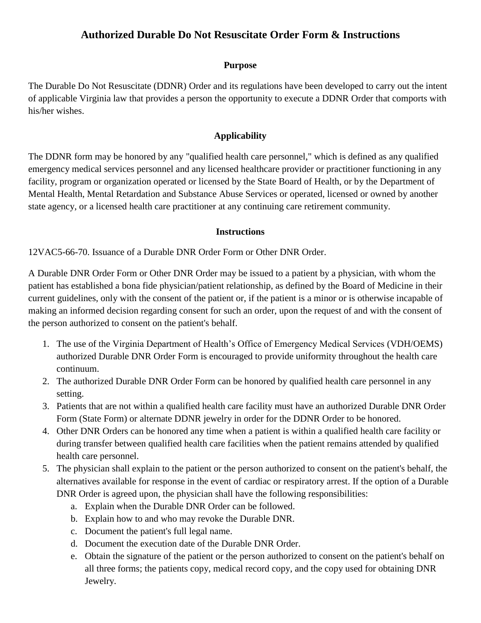## **Authorized Durable Do Not Resuscitate Order Form & Instructions**

### **Purpose**

The Durable Do Not Resuscitate (DDNR) Order and its regulations have been developed to carry out the intent of applicable Virginia law that provides a person the opportunity to execute a DDNR Order that comports with his/her wishes.

### **Applicability**

The DDNR form may be honored by any "qualified health care personnel," which is defined as any qualified emergency medical services personnel and any licensed healthcare provider or practitioner functioning in any facility, program or organization operated or licensed by the State Board of Health, or by the Department of Mental Health, Mental Retardation and Substance Abuse Services or operated, licensed or owned by another state agency, or a licensed health care practitioner at any continuing care retirement community.

#### **Instructions**

12VAC5-66-70. Issuance of a Durable DNR Order Form or Other DNR Order.

A Durable DNR Order Form or Other DNR Order may be issued to a patient by a physician, with whom the patient has established a bona fide physician/patient relationship, as defined by the Board of Medicine in their current guidelines, only with the consent of the patient or, if the patient is a minor or is otherwise incapable of making an informed decision regarding consent for such an order, upon the request of and with the consent of the person authorized to consent on the patient's behalf.

- 1. The use of the Virginia Department of Health's Office of Emergency Medical Services (VDH/OEMS) authorized Durable DNR Order Form is encouraged to provide uniformity throughout the health care continuum.
- 2. The authorized Durable DNR Order Form can be honored by qualified health care personnel in any setting.
- 3. Patients that are not within a qualified health care facility must have an authorized Durable DNR Order Form (State Form) or alternate DDNR jewelry in order for the DDNR Order to be honored.
- 4. Other DNR Orders can be honored any time when a patient is within a qualified health care facility or during transfer between qualified health care facilities when the patient remains attended by qualified health care personnel.
- 5. The physician shall explain to the patient or the person authorized to consent on the patient's behalf, the alternatives available for response in the event of cardiac or respiratory arrest. If the option of a Durable DNR Order is agreed upon, the physician shall have the following responsibilities:
	- a. Explain when the Durable DNR Order can be followed.
	- b. Explain how to and who may revoke the Durable DNR.
	- c. Document the patient's full legal name.
	- d. Document the execution date of the Durable DNR Order.
	- e. Obtain the signature of the patient or the person authorized to consent on the patient's behalf on all three forms; the patients copy, medical record copy, and the copy used for obtaining DNR Jewelry.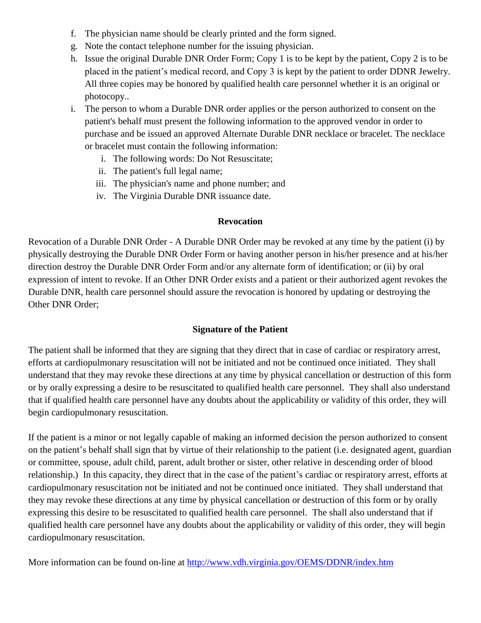- f. The physician name should be clearly printed and the form signed.
- g. Note the contact telephone number for the issuing physician.
- h. Issue the original Durable DNR Order Form; Copy 1 is to be kept by the patient, Copy 2 is to be placed in the patient's medical record, and Copy 3 is kept by the patient to order DDNR Jewelry. All three copies may be honored by qualified health care personnel whether it is an original or photocopy..
- i. The person to whom a Durable DNR order applies or the person authorized to consent on the patient's behalf must present the following information to the approved vendor in order to purchase and be issued an approved Alternate Durable DNR necklace or bracelet. The necklace or bracelet must contain the following information:
	- i. The following words: Do Not Resuscitate;
	- ii. The patient's full legal name;
	- iii. The physician's name and phone number; and
	- iv. The Virginia Durable DNR issuance date.

### **Revocation**

Revocation of a Durable DNR Order - A Durable DNR Order may be revoked at any time by the patient (i) by physically destroying the Durable DNR Order Form or having another person in his/her presence and at his/her direction destroy the Durable DNR Order Form and/or any alternate form of identification; or (ii) by oral expression of intent to revoke. If an Other DNR Order exists and a patient or their authorized agent revokes the Durable DNR, health care personnel should assure the revocation is honored by updating or destroying the Other DNR Order;

### **Signature of the Patient**

The patient shall be informed that they are signing that they direct that in case of cardiac or respiratory arrest, efforts at cardiopulmonary resuscitation will not be initiated and not be continued once initiated. They shall understand that they may revoke these directions at any time by physical cancellation or destruction of this form or by orally expressing a desire to be resuscitated to qualified health care personnel. They shall also understand that if qualified health care personnel have any doubts about the applicability or validity of this order, they will begin cardiopulmonary resuscitation.

If the patient is a minor or not legally capable of making an informed decision the person authorized to consent on the patient's behalf shall sign that by virtue of their relationship to the patient (i.e. designated agent, guardian or committee, spouse, adult child, parent, adult brother or sister, other relative in descending order of blood relationship.) In this capacity, they direct that in the case of the patient's cardiac or respiratory arrest, efforts at cardiopulmonary resuscitation not be initiated and not be continued once initiated. They shall understand that they may revoke these directions at any time by physical cancellation or destruction of this form or by orally expressing this desire to be resuscitated to qualified health care personnel. The shall also understand that if qualified health care personnel have any doubts about the applicability or validity of this order, they will begin cardiopulmonary resuscitation.

More information can be found on-line at<http://www.vdh.virginia.gov/OEMS/DDNR/index.htm>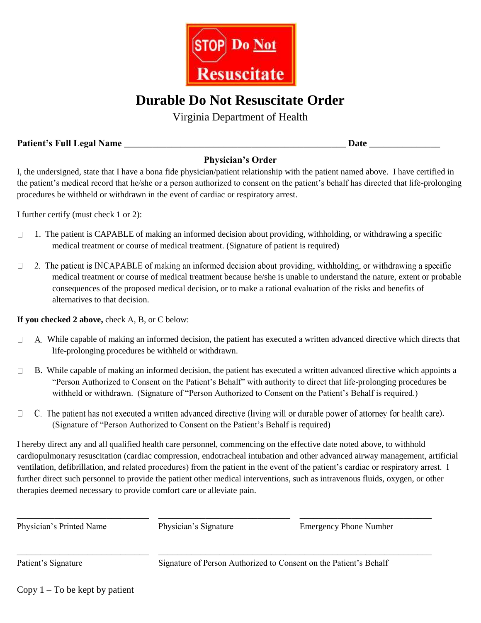

# **Durable Do Not Resuscitate Order**

Virginia Department of Health

**Patient's Full Legal Name** \_\_\_\_\_\_\_\_\_\_\_\_\_\_\_\_\_\_\_\_\_\_\_\_\_\_\_\_\_\_\_\_\_\_\_\_\_\_\_\_\_\_\_\_\_\_\_ **Date** \_\_\_\_\_\_\_\_\_\_\_\_\_\_\_

### **Physician's Order**

I, the undersigned, state that I have a bona fide physician/patient relationship with the patient named above. I have certified in the patient's medical record that he/she or a person authorized to consent on the patient's behalf has directed that life-prolonging procedures be withheld or withdrawn in the event of cardiac or respiratory arrest.

I further certify (must check 1 or 2):

- 1. The patient is CAPABLE of making an informed decision about providing, withholding, or withdrawing a specific  $\Box$ medical treatment or course of medical treatment. (Signature of patient is required)
- 2. The patient is INCAPABLE of making an informed decision about providing, withholding, or withdrawing a specific  $\Box$ medical treatment or course of medical treatment because he/she is unable to understand the nature, extent or probable consequences of the proposed medical decision, or to make a rational evaluation of the risks and benefits of alternatives to that decision.

**If you checked 2 above,** check A, B, or C below:

- While capable of making an informed decision, the patient has executed a written advanced directive which directs that  $\Box$ life-prolonging procedures be withheld or withdrawn.
- $\Box$ B. While capable of making an informed decision, the patient has executed a written advanced directive which appoints a "Person Authorized to Consent on the Patient's Behalf" with authority to direct that life-prolonging procedures be withheld or withdrawn. (Signature of "Person Authorized to Consent on the Patient's Behalf is required.)
- $\Box$ C. The patient has not executed a written advanced directive (living will or durable power of attorney for health care). (Signature of "Person Authorized to Consent on the Patient's Behalf is required)

I hereby direct any and all qualified health care personnel, commencing on the effective date noted above, to withhold cardiopulmonary resuscitation (cardiac compression, endotracheal intubation and other advanced airway management, artificial ventilation, defibrillation, and related procedures) from the patient in the event of the patient's cardiac or respiratory arrest. I further direct such personnel to provide the patient other medical interventions, such as intravenous fluids, oxygen, or other therapies deemed necessary to provide comfort care or alleviate pain.

| Physician's Printed Name | Physician's Signature                                             | <b>Emergency Phone Number</b> |
|--------------------------|-------------------------------------------------------------------|-------------------------------|
| Patient's Signature      | Signature of Person Authorized to Consent on the Patient's Behalf |                               |

Copy  $1 - To$  be kept by patient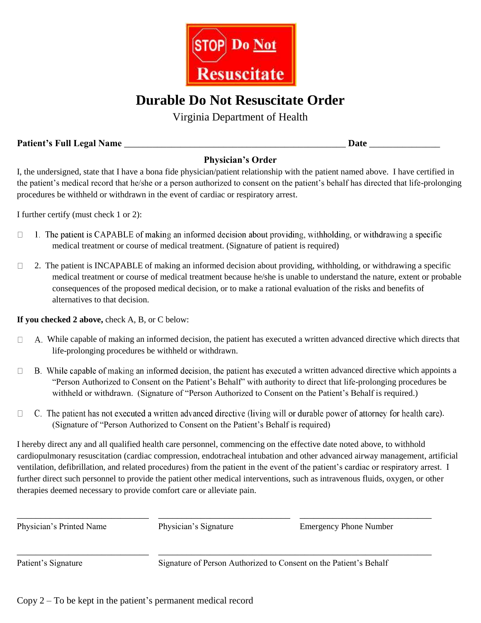

# **Durable Do Not Resuscitate Order**

Virginia Department of Health

**Patient's Full Legal Name** \_\_\_\_\_\_\_\_\_\_\_\_\_\_\_\_\_\_\_\_\_\_\_\_\_\_\_\_\_\_\_\_\_\_\_\_\_\_\_\_\_\_\_\_\_\_\_ **Date** \_\_\_\_\_\_\_\_\_\_\_\_\_\_\_

## **Physician's Order**

I, the undersigned, state that I have a bona fide physician/patient relationship with the patient named above. I have certified in the patient's medical record that he/she or a person authorized to consent on the patient's behalf has directed that life-prolonging procedures be withheld or withdrawn in the event of cardiac or respiratory arrest.

I further certify (must check 1 or 2):

- 1. The patient is CAPABLE of making an informed decision about providing, withholding, or withdrawing a specific  $\Box$ medical treatment or course of medical treatment. (Signature of patient is required)
- $\Box$ 2. The patient is INCAPABLE of making an informed decision about providing, withholding, or withdrawing a specific medical treatment or course of medical treatment because he/she is unable to understand the nature, extent or probable consequences of the proposed medical decision, or to make a rational evaluation of the risks and benefits of alternatives to that decision.

**If you checked 2 above,** check A, B, or C below:

- While capable of making an informed decision, the patient has executed a written advanced directive which directs that  $\Box$ life-prolonging procedures be withheld or withdrawn.
- B. While capable of making an informed decision, the patient has executed a written advanced directive which appoints a  $\Box$ "Person Authorized to Consent on the Patient's Behalf" with authority to direct that life-prolonging procedures be withheld or withdrawn. (Signature of "Person Authorized to Consent on the Patient's Behalf is required.)
- C. The patient has not executed a written advanced directive (living will or durable power of attorney for health care).  $\Box$ (Signature of "Person Authorized to Consent on the Patient's Behalf is required)

I hereby direct any and all qualified health care personnel, commencing on the effective date noted above, to withhold cardiopulmonary resuscitation (cardiac compression, endotracheal intubation and other advanced airway management, artificial ventilation, defibrillation, and related procedures) from the patient in the event of the patient's cardiac or respiratory arrest. I further direct such personnel to provide the patient other medical interventions, such as intravenous fluids, oxygen, or other therapies deemed necessary to provide comfort care or alleviate pain.

| Physician's Printed Name | Physician's Signature                                             | <b>Emergency Phone Number</b> |
|--------------------------|-------------------------------------------------------------------|-------------------------------|
| Patient's Signature      | Signature of Person Authorized to Consent on the Patient's Behalf |                               |